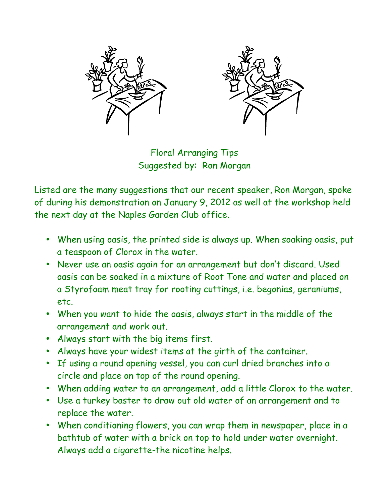

Floral Arranging Tips Suggested by: Ron Morgan

Listed are the many suggestions that our recent speaker, Ron Morgan, spoke of during his demonstration on January 9, 2012 as well at the workshop held the next day at the Naples Garden Club office.

- When using oasis, the printed side is always up. When soaking oasis, put a teaspoon of Clorox in the water.
- Never use an oasis again for an arrangement but don't discard. Used oasis can be soaked in a mixture of Root Tone and water and placed on a Styrofoam meat tray for rooting cuttings, i.e. begonias, geraniums, etc.
- When you want to hide the oasis, always start in the middle of the arrangement and work out.
- Always start with the big items first.
- Always have your widest items at the girth of the container.
- If using a round opening vessel, you can curl dried branches into a circle and place on top of the round opening.
- When adding water to an arrangement, add a little Clorox to the water.
- Use a turkey baster to draw out old water of an arrangement and to replace the water.
- When conditioning flowers, you can wrap them in newspaper, place in a bathtub of water with a brick on top to hold under water overnight. Always add a cigarette-the nicotine helps.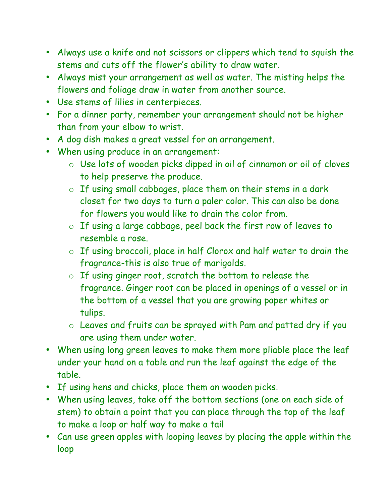- Always use a knife and not scissors or clippers which tend to squish the stems and cuts off the flower's ability to draw water.
- Always mist your arrangement as well as water. The misting helps the flowers and foliage draw in water from another source.
- Use stems of lilies in centerpieces.
- For a dinner party, remember your arrangement should not be higher than from your elbow to wrist.
- A dog dish makes a great vessel for an arrangement.
- When using produce in an arrangement:
	- o Use lots of wooden picks dipped in oil of cinnamon or oil of cloves to help preserve the produce.
	- o If using small cabbages, place them on their stems in a dark closet for two days to turn a paler color. This can also be done for flowers you would like to drain the color from.
	- o If using a large cabbage, peel back the first row of leaves to resemble a rose.
	- o If using broccoli, place in half Clorox and half water to drain the fragrance-this is also true of marigolds.
	- o If using ginger root, scratch the bottom to release the fragrance. Ginger root can be placed in openings of a vessel or in the bottom of a vessel that you are growing paper whites or tulips.
	- o Leaves and fruits can be sprayed with Pam and patted dry if you are using them under water.
- When using long green leaves to make them more pliable place the leaf under your hand on a table and run the leaf against the edge of the table.
- If using hens and chicks, place them on wooden picks.
- When using leaves, take off the bottom sections (one on each side of stem) to obtain a point that you can place through the top of the leaf to make a loop or half way to make a tail
- Can use green apples with looping leaves by placing the apple within the loop